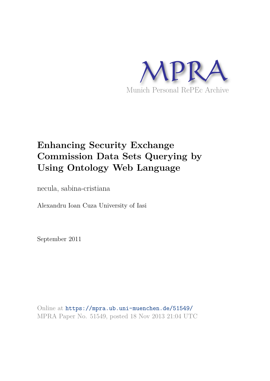

# **Enhancing Security Exchange Commission Data Sets Querying by Using Ontology Web Language**

necula, sabina-cristiana

Alexandru Ioan Cuza University of Iasi

September 2011

Online at https://mpra.ub.uni-muenchen.de/51549/ MPRA Paper No. 51549, posted 18 Nov 2013 21:04 UTC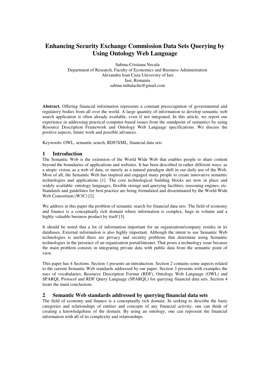# **Enhancing Security Exchange Commission Data Sets Querying by Using Ontology Web Language**

Sabina-Cristiana Necula Department of Research, Faculty of Economics and Business Administration Alexandru Ioan Cuza University of Iasi Iasi, Romania sabina.mihalache@gmail.com

**Abstract.** Offering financial information represents a constant preoccupation of governmental and regulatory bodies from all over the world. A large quantity of information to develop semantic web search application is often already available, even if not integrated. In this article, we report our experience in addressing practical computer-based issues from the standpoint of semantics by using Resource Description Framework and Ontology Web Language specifications. We discuss the positive aspects, future work and possible advances.

Keywords: OWL, semantic search, RDF/XML, financial data sets

## **1 Introduction**

The Semantic Web is the extension of the World Wide Web that enables people to share content beyond the boundaries of applications and websites. It has been described in rather different ways: as a utopic vision, as a web of data, or merely as a natural paradigm shift in our daily use of the Web. Most of all, the Semantic Web has inspired and engaged many people to create innovative semantic technologies and applications [1]. The core technological building blocks are now in place and widely available: ontology languages, flexible storage and querying facilities, reasoning engines, etc. Standards and guidelines for best practice are being formulated and disseminated by the World Wide Web Consortium (W3C) [2].

We address in this paper the problem of semantic search for financial data sets. The field of economy and finance is a conceptually rich domain where information is complex, huge in volume and a highly valuable business product by itself [3].

It should be noted that a lot of information important for an organization/company resides in its databases. External information is also highly important. Although the intent to use Semantic Web technologies is useful there are privacy and security problems that determine using Semantic technologies in the presence of an organization portal/intranet. That poses a technology issue because the main problem consists in integrating private data with public data from the semantic point of view.

This paper has 4 Sections. Section 1 presents an introduction. Section 2 contains some aspects related to the current Semantic Web standards addressed by our paper. Section 3 presents with examples the uses of vocabularies, Resource Description Format (RDF), Ontology Web Language (OWL) and SPARQL Protocol and RDF Query Language (SPARQL) for querying financial data sets. Section 4 treats the main conclusions.

### **2 Semantic Web standards addressed by querying financial data sets**

The field of economy and finance is a conceptually rich domain. In seeking to describe the basic categories and relationships of entities and concepts of any financial activity, one can think of creating a knowledgebase of the domain. By using an ontology, one can represent the financial information with all of its complexity and relationships.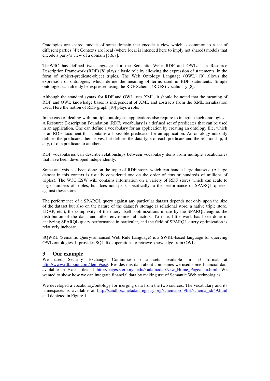Ontologies are shared models of some domain that encode a view which is common to a set of different parties [4]; Contexts are local (where local is intended here to imply not shared) models that encode a party's view of a domain [5,6,7].

TheW3C has defined two languages for the Semantic Web: RDF and OWL. The Resource Description Framework (RDF) [8] plays a basic role by allowing the expression of statements, in the form of subject-predicate-object triples. The Web Ontology Language (OWL) [9] allows the expression of ontologies, which define the meaning of terms used in RDF statements. Simple ontologies can already be expressed using the RDF Schema (RDFS) vocabulary [8].

Although the standard syntax for RDF and OWL uses XML, it should be noted that the meaning of RDF and OWL knowledge bases is independent of XML and abstracts from the XML serialization used. Here the notion of RDF graph [10] plays a role.

In the case of dealing with multiple ontologies, applications also require to integrate such ontologies. A Resource Description Foundation (RDF) vocabulary is a defined set of predicates that can be used in an application. One can define a vocabulary for an application by creating an ontology file, which is an RDF document that contains all possible predicates for an application. An ontology not only defines the predicates themselves, but defines the data type of each predicate and the relationship, if any, of one predicate to another.

RDF vocabularies can describe relationships between vocabulary items from multiple vocabularies that have been developed independently.

Some analysis has been done on the topic of RDF stores which can handle large datasets. (A large dataset in this context is usually considered one on the order of tens or hundreds of millions of triples). The W3C ESW wiki contains information on a variety of RDF stores which can scale to large numbers of triples, but does not speak specifically to the performance of SPARQL queries against these stores.

The performance of a SPARQL query against any particular dataset depends not only upon the size of the dataset but also on the nature of the dataset's storage (a relational store, a native triple store, LDAP, etc.), the complexity of the query itself, optimizations in use by the SPARQL engine, the distribution of the data, and other environmental factors. To date, little work has been done in analyzing SPARQL query performance in particular, and the field of SPARQL query optimization is relatively inchoate.

SQWRL (Semantic Query-Enhanced Web Rule Language) is a SWRL-based language for querying OWL ontologies. It provides SQL-like operations to retrieve knowledge from OWL.

#### **3 Our example**

We used Security Exchange Commission data sets available in n3 format at [http://www.rdfabout.com/demo/sec/.](http://www.rdfabout.com/demo/sec/) Besides this data about companies we used some financial data available in Excel files at [http://pages.stern.nyu.edu/~adamodar/New\\_Home\\_Page/data.html.](http://pages.stern.nyu.edu/~adamodar/New_Home_Page/data.html) We wanted to show how we can integrate financial data by making use of Semantic Web technologies.

We developed a vocabulary/ontology for merging data from the two sources. The vocabulary and its namespaces is available at [http://sandbox.metadataregistry.org/schemaprop/list/schema\\_id/49.html](http://sandbox.metadataregistry.org/schemaprop/list/schema_id/49.html) and depicted in Figure 1.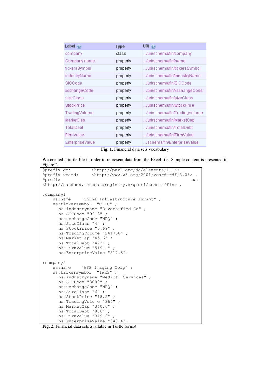| Label $\odot$          | <b>Type</b> | URI $\circledcirc$            |
|------------------------|-------------|-------------------------------|
| company                | class       | /uri/schema/fin/company       |
| Company name           | property    | /uri/schema/fin/name          |
| tickersSymbol          | property    | /uri/schema/fin/tickersSymbol |
| industryName           | property    | /uri/schema/fin/industryName  |
| SICCode                | property    | …/uri/schema/fin/SICCode      |
| xschangeCode           | property    | /uri/schema/fin/xschangeCode  |
| sizeClass              | property    | /uri/schema/fin/sizeClass     |
| StockPrice             | property    | Juri/schema/fin/StockPrice    |
| TradingVolume          | property    | /uri/schema/fin/TradingVolume |
| MarketCap              | property    | /uri/schema/fin/MarketCap     |
| TotalDebt              | property    | /uri/schema/fin/TotalDebt     |
| FirmValue              | property    | …/uri/schema/fin/FirmValue    |
| <b>EnterpriseValue</b> | property    | /schema/fin/EnterpriseValue   |

**Fig. 1.** Financial data sets vocabulary

We created a turtle file in order to represent data from the Excel file. Sample content is presented in Figure 2.

```
@prefix dc: <http://purl.org/dc/elements/1.1/> . 
@prefix vcard: <http://www.w3.org/2001/vcard-rdf/3.0#> . 
exprefix ns: \blacksquare<http://sandbox.metadataregistry.org/uri/schema/fin> . 
:company1 
    ns:name "China Infrastructure Invsmt" ; 
    ns:tickersymbol "CIIC" ; 
      ns:industryname "Diversified Co" ; 
      ns:SICCode "9913" ; 
       ns:xschangeCode "NDQ" ; 
       ns:SizeClass "4" ; 
       ns:StockPrice "0.69" ; 
       ns:TradingVolume "241738" ; 
       ns:MarketCap "45.6" ; 
       ns:TotalDebt "473" ; 
       ns:FirmValue "519.1" ; 
       ns:EnterpriseValue "517.8". 
:company2 
    ns:name "AFP Imaging Corp" ; 
    ns:tickersymbol "IWKS" ; 
       ns:industryname "Medical Services" ; 
       ns:SICCode "8000" ; 
       ns:xschangeCode "NDQ" ; 
       ns:SizeClass "6" ; 
       ns:StockPrice "18.5" ;
       ns:TradingVolume "364" ; 
       ns:MarketCap "340.6" ; 
       ns:TotalDebt "8.6" ; 
       ns:FirmValue "349.2" ; 
       ns:EnterpriseValue "348.4".
```
**Fig. 2.** Financial data sets available in Turtle format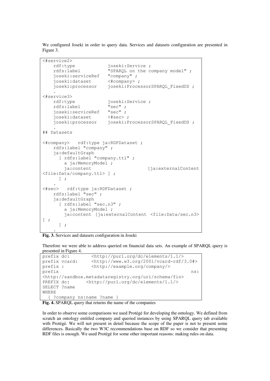We configured Joseki in order to query data. Services and datasets configuration are presented in Figure 3.

```
<#service2>
    rdf:type joseki:Service ;
     rdfs:label "SPARQL on the company model" ;
    joseki:serviceRef "company" ;<br>joseki:dataset <#company> ;
    joseki:dataset<br>joseki:processor
                           joseki: Processor SPARQL FixedDS ;
 . 
<#service3>
    rdf:type joseki:Service ;<br>rdfs:label "sec" ;
    rdfs:label "sec" ;<br>ioseki:serviceRef "sec" ;
    joseki:serviceRef "sec" ;<br>ioseki:dataset <#sec> ;
    joseki:dataset<br>joseki:processor
                          joseki: Processor SPARQL FixedDS ;
 . 
## Datasets
<#company> rdf:type ja:RDFDataset ;
     rdfs:label "company" ;
     ja:defaultGraph 
      [ rdfs:label "company.ttl" ;
         a ja:MemoryModel ;
        ja:content [ja:externalContent
<file:Data/company.ttl> ] ;
       ] ;
 . 
<#sec> rdf:type ja:RDFDataset ;
     rdfs:label "sec" ;
     ja:defaultGraph 
      [ rdfs:label "sec.n3" ;
         a ja:MemoryModel ;
          ja:content [ja:externalContent <file:Data/sec.n3> 
] ;
       ] ;
 .
```
**Fig. 3.** Services and datasets configuration in Joseki

Therefore we were able to address queried on financial data sets. An example of SPARQL query is presented in Figure 4.

```
prefix dc: <http://purl.org/dc/elements/1.1/>
prefix vcard: <http://www.w3.org/2001/vcard-rdf/3.0#> 
prefix : \langle \text{http://example.org/company/>} \rangleprefix ns:
<http://sandbox.metadataregistry.org/uri/schema/fin>
PREFIX dc: <http://purl.org/dc/elements/1.1/>
SELECT ?name
WHERE 
  { ?company ns:name ?name }
```
**Fig. 4.** SPARQL query that returns the name of the companies

In order to observe some comparisons we used Protégé for developing the ontology. We defined from scratch an ontology entitled company and queried instances by using SPARQL query tab available with Protégé. We will not present in detail because the scope of the paper is not to present some differences. Basically the two W3C recommendations base on RDF so we consider that presenting RDF files is enough. We used Protégé for some other important reasons: making rules on data.